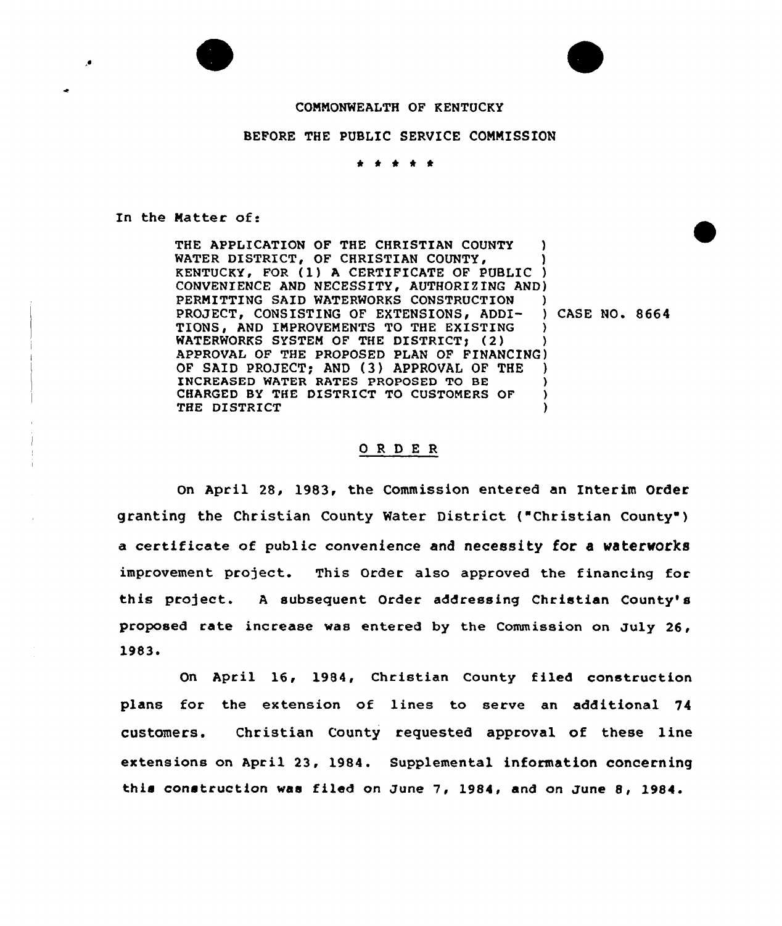# COMMONWEALTH OF KENTUCKY

## BEFORE THE PUBLIC SERVICE COMMISSION

#### . . . .

#### In the Matter of:

THE APPLICATION OF THE CHRISTIAN COUNTY ) WATER DISTRICT, OF CHRISTIAN COUNTY, KENTUCKY, FOR (1) <sup>A</sup> CERTIFICATE OF PUBLIC ) CONVENIENCE AND NECESSITY AUTHORIZING AND) PERMITTING SAID WATERWORKS CONSTRUCTION )<br>PROJECT, CONSISTING OF EXTENSIONS, ADDI- ) CASE NO. 8664 PROJECT, CONSISTING OF EXTENSIONS, ADDI-TIONS, AND IMPROVEMENTS TO THE EXISTING ) WATERWORKS SYSTEM OF THE DISTRICT; (2) APPROVAL OF THE PROPOSED PLAN OF FINANCING) OF SAID PROJECT; AND {3) APPROVAL OF THE ) INCREASED WATER RATES PROPOSED TO BE CHARGED BY THE DISTRICT TO CUSTOMERS OF THE DISTRICT

## ORDER

On April 28, 1983, the Commission entered an Interim Order granting the Christian County Water District ("Christian County") a certificate of public convenience and necessity for a waterworks improvement project. This Order also approved the financing for this project. A subsequent Order addressing Christian County's proposed rate increase was entered by the Commission on July 26, 1983.

On April 16, 1984, Christian County fi1ed construction plans for the extension of lines to serve an additional 74 customers. Christian County requested approval of these line extensions on April 23, 1984. Supplemental information concerning this construction was filed on June 7, 1984, and on June 8, 1984.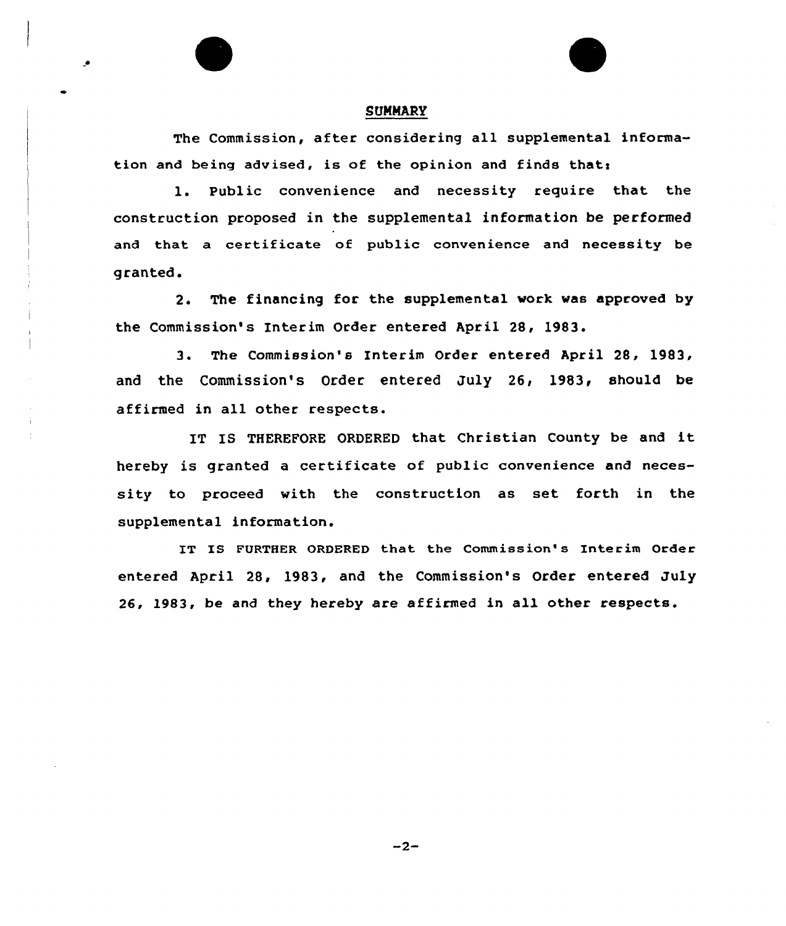# **SUMMARY**

The Commission, after considering all supplemental information and being advised, is of the opinion and finds that:

1. Public convenience and necessity require that the construction proposed in the supplemental information be performed and that a certificate of public convenience and necessity be granted.

2. The financing for the supplemental work was approved by the Commission's Interim Order entered April 28, 1983.

3. The Commission's Interim Order entered April 28, 1983, and the Commission's Order entered July 26, 1983, should be affirmed in all other respects.

IT IS THEREFORE ORDERED that Christian County be and it hereby is granted <sup>a</sup> certificate of public convenience and necessity to proceed with the construction as set forth in the supplemental information.

IT IS FURTHER ORDERED that the Commission's Interim Order entered April 2S, 1983, and the Commission's Order entered July 26, 1983, be and they hereby are affirmed in all other respects.

 $-2-$